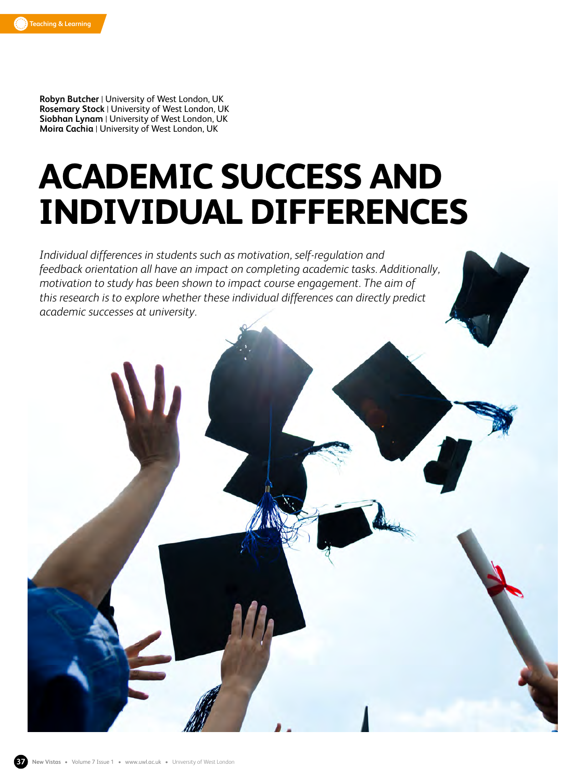

**Robyn Butcher** | University of West London, UK **Rosemary Stock** | University of West London, UK **Siobhan Lynam** | University of West London, UK **Moira Cachia** | University of West London, UK

# **ACADEMIC SUCCESS AND INDIVIDUAL DIFFERENCES**

*Individual differences in students such as motivation, self-regulation and feedback orientation all have an impact on completing academic tasks. Additionally, motivation to study has been shown to impact course engagement. The aim of this research is to explore whether these individual differences can directly predict academic successes at university.*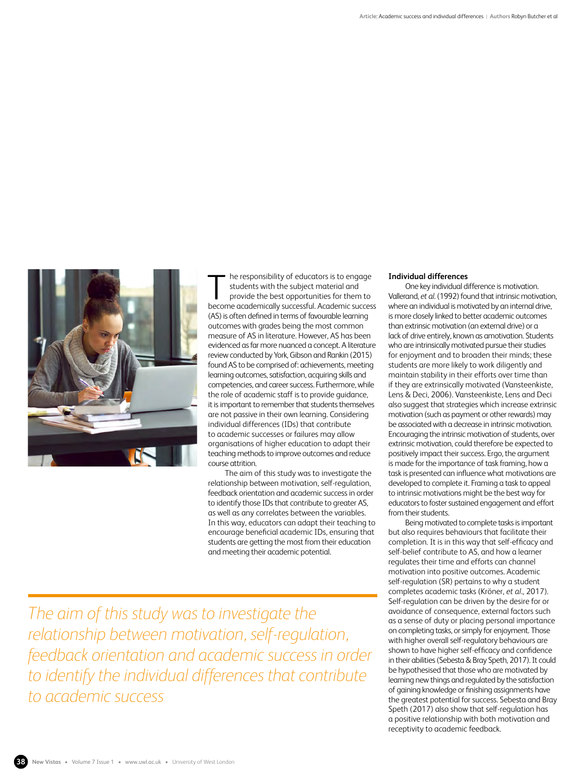

he responsibility of educators is to engage students with the subject material and provide the best opportunities for them to The responsibility of educators is to engage<br>students with the subject material and<br>provide the best opportunities for them to<br>become academically successful. Academic success (AS) is often defined in terms of favourable learning outcomes with grades being the most common measure of AS in literature. However, AS has been evidenced as far more nuanced a concept. A literature review conducted by York, Gibson and Rankin (2015) found AS to be comprised of: achievements, meeting learning outcomes, satisfaction, acquiring skills and competencies, and career success. Furthermore, while the role of academic staff is to provide guidance, it is important to remember that students themselves are not passive in their own learning. Considering individual differences (IDs) that contribute to academic successes or failures may allow organisations of higher education to adapt their teaching methods to improve outcomes and reduce course attrition.

The aim of this study was to investigate the relationship between motivation, self-regulation, feedback orientation and academic success in order to identify those IDs that contribute to greater AS, as well as any correlates between the variables. In this way, educators can adapt their teaching to encourage beneficial academic IDs, ensuring that students are getting the most from their education and meeting their academic potential.

*The aim of this study was to investigate the relationship between motivation, self-regulation, feedback orientation and academic success in order to identify the individual differences that contribute to academic success*

## **Individual differences**

One key individual difference is motivation. Vallerand, *et al*. (1992) found that intrinsic motivation, where an individual is motivated by an internal drive, is more closely linked to better academic outcomes than extrinsic motivation (an external drive) or a lack of drive entirely, known as amotivation. Students who are intrinsically motivated pursue their studies for enjoyment and to broaden their minds; these students are more likely to work diligently and maintain stability in their efforts over time than if they are extrinsically motivated (Vansteenkiste, Lens & Deci, 2006). Vansteenkiste, Lens and Deci also suggest that strategies which increase extrinsic motivation (such as payment or other rewards) may be associated with a decrease in intrinsic motivation. Encouraging the intrinsic motivation of students, over extrinsic motivation, could therefore be expected to positively impact their success. Ergo, the argument is made for the importance of task framing, how a task is presented can influence what motivations are developed to complete it. Framing a task to appeal to intrinsic motivations might be the best way for educators to foster sustained engagement and effort from their students.

Being motivated to complete tasks is important but also requires behaviours that facilitate their completion. It is in this way that self-efficacy and self-belief contribute to AS, and how a learner regulates their time and efforts can channel motivation into positive outcomes. Academic self-regulation (SR) pertains to why a student completes academic tasks (Kröner, *et al*., 2017). Self-regulation can be driven by the desire for or avoidance of consequence, external factors such as a sense of duty or placing personal importance on completing tasks, or simply for enjoyment. Those with higher overall self-regulatory behaviours are shown to have higher self-efficacy and confidence in their abilities (Sebesta & Bray Speth, 2017). It could be hypothesised that those who are motivated by learning new things and regulated by the satisfaction of gaining knowledge or finishing assignments have the greatest potential for success. Sebesta and Bray Speth (2017) also show that self-regulation has a positive relationship with both motivation and receptivity to academic feedback.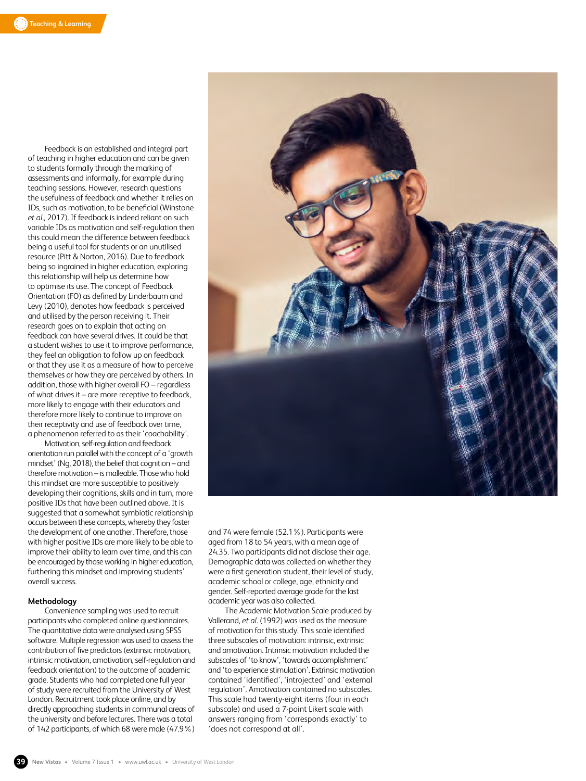Feedback is an established and integral part of teaching in higher education and can be given to students formally through the marking of assessments and informally, for example during teaching sessions. However, research questions the usefulness of feedback and whether it relies on IDs, such as motivation, to be beneficial (Winstone *et al*., 2017). If feedback is indeed reliant on such variable IDs as motivation and self-regulation then this could mean the difference between feedback being a useful tool for students or an unutilised resource (Pitt & Norton, 2016). Due to feedback being so ingrained in higher education, exploring this relationship will help us determine how to optimise its use. The concept of Feedback Orientation (FO) as defined by Linderbaum and Levy (2010), denotes how feedback is perceived and utilised by the person receiving it. Their research goes on to explain that acting on feedback can have several drives. It could be that a student wishes to use it to improve performance, they feel an obligation to follow up on feedback or that they use it as a measure of how to perceive themselves or how they are perceived by others. In addition, those with higher overall FO – regardless of what drives it – are more receptive to feedback, more likely to engage with their educators and therefore more likely to continue to improve on their receptivity and use of feedback over time, a phenomenon referred to as their 'coachability'.

Motivation, self-regulation and feedback orientation run parallel with the concept of a 'growth mindset' (Ng, 2018), the belief that cognition – and therefore motivation – is malleable. Those who hold this mindset are more susceptible to positively developing their cognitions, skills and in turn, more positive IDs that have been outlined above. It is suggested that a somewhat symbiotic relationship occurs between these concepts, whereby they foster the development of one another. Therefore, those with higher positive IDs are more likely to be able to improve their ability to learn over time, and this can be encouraged by those working in higher education, furthering this mindset and improving students' overall success.

### **Methodology**

Convenience sampling was used to recruit participants who completed online questionnaires. The quantitative data were analysed using SPSS software. Multiple regression was used to assess the contribution of five predictors (extrinsic motivation, intrinsic motivation, amotivation, self-regulation and feedback orientation) to the outcome of academic grade. Students who had completed one full year of study were recruited from the University of West London. Recruitment took place online, and by directly approaching students in communal areas of the university and before lectures. There was a total of 142 participants, of which 68 were male (47.9%)



and 74 were female (52.1%). Participants were aged from 18 to 54 years, with a mean age of 24.35. Two participants did not disclose their age. Demographic data was collected on whether they were a first generation student, their level of study, academic school or college, age, ethnicity and gender. Self-reported average grade for the last academic year was also collected.

The Academic Motivation Scale produced by Vallerand, *et al*. (1992) was used as the measure of motivation for this study. This scale identified three subscales of motivation: intrinsic, extrinsic and amotivation. Intrinsic motivation included the subscales of 'to know', 'towards accomplishment' and 'to experience stimulation'. Extrinsic motivation contained 'identified', 'introjected' and 'external regulation'. Amotivation contained no subscales. This scale had twenty-eight items (four in each subscale) and used a 7-point Likert scale with answers ranging from 'corresponds exactly' to 'does not correspond at all'.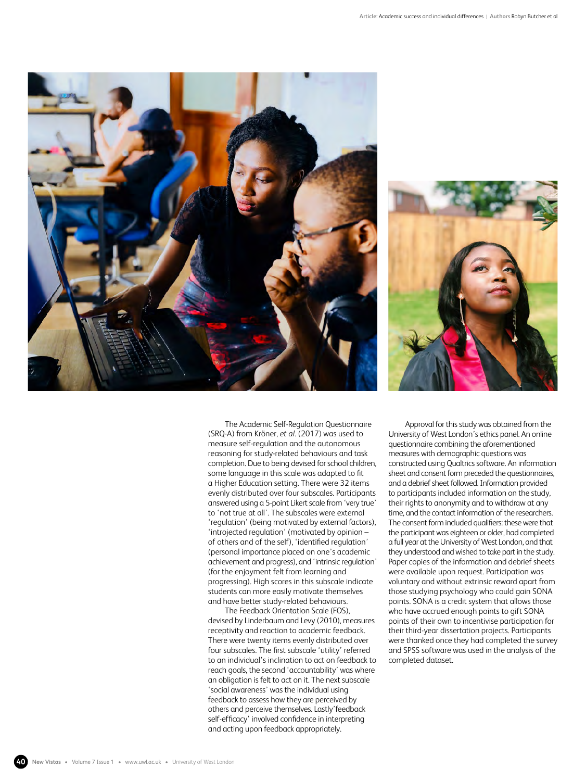



The Academic Self-Regulation Questionnaire (SRQ-A) from Kröner, *et al*. (2017) was used to measure self-regulation and the autonomous reasoning for study-related behaviours and task completion. Due to being devised for school children, some language in this scale was adapted to fit a Higher Education setting. There were 32 items evenly distributed over four subscales. Participants answered using a 5-point Likert scale from 'very true' to 'not true at all'. The subscales were external 'regulation' (being motivated by external factors), 'introjected regulation' (motivated by opinion – of others and of the self), 'identified regulation' (personal importance placed on one's academic achievement and progress), and 'intrinsic regulation' (for the enjoyment felt from learning and progressing). High scores in this subscale indicate students can more easily motivate themselves and have better study-related behaviours.

The Feedback Orientation Scale (FOS), devised by Linderbaum and Levy (2010), measures receptivity and reaction to academic feedback. There were twenty items evenly distributed over four subscales. The first subscale 'utility' referred to an individual's inclination to act on feedback to reach goals, the second 'accountability' was where an obligation is felt to act on it. The next subscale 'social awareness' was the individual using feedback to assess how they are perceived by others and perceive themselves. Lastly'feedback self-efficacy' involved confidence in interpreting and acting upon feedback appropriately.

Approval for this study was obtained from the University of West London's ethics panel. An online questionnaire combining the aforementioned measures with demographic questions was constructed using Qualtrics software. An information sheet and consent form preceded the questionnaires, and a debrief sheet followed. Information provided to participants included information on the study, their rights to anonymity and to withdraw at any time, and the contact information of the researchers. The consent form included qualifiers: these were that the participant was eighteen or older, had completed a full year at the University of West London, and that they understood and wished to take part in the study. Paper copies of the information and debrief sheets were available upon request. Participation was voluntary and without extrinsic reward apart from those studying psychology who could gain SONA points. SONA is a credit system that allows those who have accrued enough points to gift SONA points of their own to incentivise participation for their third-year dissertation projects. Participants were thanked once they had completed the survey and SPSS software was used in the analysis of the completed dataset.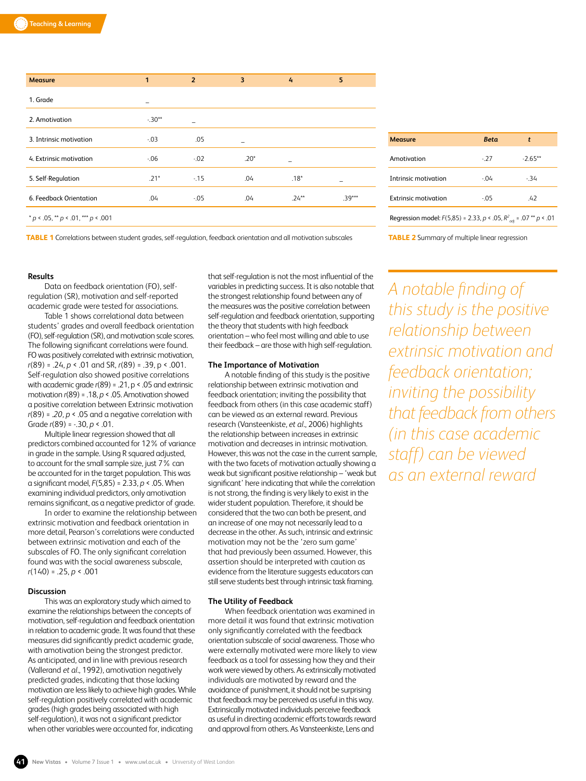| <b>Measure</b>                       | 1       | $\overline{2}$ | 3      | 4       | 5        |
|--------------------------------------|---------|----------------|--------|---------|----------|
| 1. Grade                             |         |                |        |         |          |
| 2. Amotivation                       | $-30**$ |                |        |         |          |
| 3. Intrinsic motivation              | $-0.03$ | .05            | -      |         |          |
| 4. Extrinsic motivation              | $-0.06$ | $-0.02$        | $.20*$ | -       |          |
| 5. Self-Regulation                   | $.21*$  | $-15$          | .04    | $.18*$  |          |
| 6. Feedback Orientation              | .04     | $-0.05$        | .04    | $.24**$ | $.39***$ |
| $* p < .05, ** p < .01, ** p < .001$ |         |                |        |         |          |

**Measure** *Beta t* Amotivation -.27 -2.65\*\* Intrinsic motivation -.04 -.34 Extrinsic motivation -.05 .42 Regression model: *F*(5,85) = 2.33, *p* < .05, *R2 adj* = .07 \*\* *p* < .01

**TABLE 1** Correlations between student grades, self-regulation, feedback orientation and all motivation subscales

## **Results**

Data on feedback orientation (FO), selfregulation (SR), motivation and self-reported academic grade were tested for associations.

Table 1 shows correlational data between students' grades and overall feedback orientation (FO), self-regulation (SR), and motivation scale scores. The following significant correlations were found. FO was positively correlated with extrinsic motivation, *r*(89) = .24, *p* < .01 and SR, *r*(89) = .39, p < .001. Self-regulation also showed positive correlations with academic grade *r*(89) = .21, p < .05 and extrinsic motivation *r*(89) = .18, *p* < .05. Amotivation showed a positive correlation between Extrinsic motivation *r*(89) = .*20, p* < .05 and a negative correlation with Grade *r*(89) = -.30, *p* < .01.

Multiple linear regression showed that all predictors combined accounted for 12% of variance in grade in the sample. Using R squared adjusted, to account for the small sample size, just 7% can be accounted for in the target population. This was a significant model, *F*(5,85) = 2.33, *p* < .05. When examining individual predictors, only amotivation remains significant, as a negative predictor of grade.

In order to examine the relationship between extrinsic motivation and feedback orientation in more detail, Pearson's correlations were conducted between extrinsic motivation and each of the subscales of FO. The only significant correlation found was with the social awareness subscale, *r*(140) = .25, *p* < .001

## **Discussion**

This was an exploratory study which aimed to examine the relationships between the concepts of motivation, self-regulation and feedback orientation in relation to academic grade. It was found that these measures did significantly predict academic grade, with amotivation being the strongest predictor. As anticipated, and in line with previous research (Vallerand *et al*., 1992), amotivation negatively predicted grades, indicating that those lacking motivation are less likely to achieve high grades. While self-regulation positively correlated with academic grades (high grades being associated with high self-regulation), it was not a significant predictor when other variables were accounted for, indicating

that self-regulation is not the most influential of the variables in predicting success. It is also notable that the strongest relationship found between any of the measures was the positive correlation between self-regulation and feedback orientation, supporting the theory that students with high feedback orientation – who feel most willing and able to use their feedback – are those with high self-regulation.

#### **The Importance of Motivation**

A notable finding of this study is the positive relationship between extrinsic motivation and feedback orientation; inviting the possibility that feedback from others (in this case academic staff) can be viewed as an external reward. Previous research (Vansteenkiste, *et al*., 2006) highlights the relationship between increases in extrinsic motivation and decreases in intrinsic motivation. However, this was not the case in the current sample, with the two facets of motivation actually showing a weak but significant positive relationship – 'weak but significant' here indicating that while the correlation is not strong, the finding is very likely to exist in the wider student population. Therefore, it should be considered that the two can both be present, and an increase of one may not necessarily lead to a decrease in the other. As such, intrinsic and extrinsic motivation may not be the 'zero sum game' that had previously been assumed. However, this assertion should be interpreted with caution as evidence from the literature suggests educators can still serve students best through intrinsic task framing.

#### **The Utility of Feedback**

When feedback orientation was examined in more detail it was found that extrinsic motivation only significantly correlated with the feedback orientation subscale of social awareness. Those who were externally motivated were more likely to view feedback as a tool for assessing how they and their work were viewed by others. As extrinsically motivated individuals are motivated by reward and the avoidance of punishment, it should not be surprising that feedback may be perceived as useful in this way. Extrinsically motivated individuals perceive feedback as useful in directing academic efforts towards reward and approval from others. As Vansteenkiste, Lens and

**TABLE 2** Summary of multiple linear regression

*A notable finding of this study is the positive relationship between extrinsic motivation and feedback orientation; inviting the possibility that feedback from others (in this case academic staff) can be viewed as an external reward*